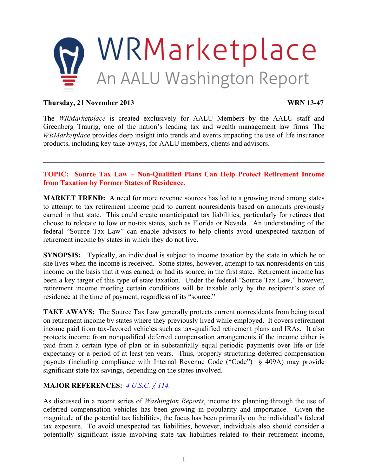

#### **Thursday, 21 November 2013 WRN 13-47**

The *WRMarketplace* is created exclusively for AALU Members by the AALU staff and Greenberg Traurig, one of the nation's leading tax and wealth management law firms. The *WRMarketplace* provides deep insight into trends and events impacting the use of life insurance products, including key take-aways, for AALU members, clients and advisors.

## **TOPIC: Source Tax Law – Non-Qualified Plans Can Help Protect Retirement Income from Taxation by Former States of Residence.**

 $\mathcal{L}_\mathcal{L} = \{ \mathcal{L}_\mathcal{L} = \{ \mathcal{L}_\mathcal{L} = \{ \mathcal{L}_\mathcal{L} = \{ \mathcal{L}_\mathcal{L} = \{ \mathcal{L}_\mathcal{L} = \{ \mathcal{L}_\mathcal{L} = \{ \mathcal{L}_\mathcal{L} = \{ \mathcal{L}_\mathcal{L} = \{ \mathcal{L}_\mathcal{L} = \{ \mathcal{L}_\mathcal{L} = \{ \mathcal{L}_\mathcal{L} = \{ \mathcal{L}_\mathcal{L} = \{ \mathcal{L}_\mathcal{L} = \{ \mathcal{L}_\mathcal{$ 

**MARKET TREND:** A need for more revenue sources has led to a growing trend among states to attempt to tax retirement income paid to current nonresidents based on amounts previously earned in that state. This could create unanticipated tax liabilities, particularly for retirees that choose to relocate to low or no-tax states, such as Florida or Nevada. An understanding of the federal "Source Tax Law" can enable advisors to help clients avoid unexpected taxation of retirement income by states in which they do not live.

**SYNOPSIS:** Typically, an individual is subject to income taxation by the state in which he or she lives when the income is received. Some states, however, attempt to tax nonresidents on this income on the basis that it was earned, or had its source, in the first state. Retirement income has been a key target of this type of state taxation. Under the federal "Source Tax Law," however, retirement income meeting certain conditions will be taxable only by the recipient's state of residence at the time of payment, regardless of its "source."

**TAKE AWAYS:** The Source Tax Law generally protects current nonresidents from being taxed on retirement income by states where they previously lived while employed. It covers retirement income paid from tax-favored vehicles such as tax-qualified retirement plans and IRAs. It also protects income from nonqualified deferred compensation arrangements if the income either is paid from a certain type of plan or in substantially equal periodic payments over life or life expectancy or a period of at least ten years. Thus, properly structuring deferred compensation payouts (including compliance with Internal Revenue Code ("Code") § 409A) may provide significant state tax savings, depending on the states involved.

## **MAJOR REFERENCES:** *[4 U.S.C. § 114.](http://3046e518b848d4f31d47-d852a7900afdde3ecd88c7f58ca0921a.r78.cf1.rackcdn.com/360537186_v 1_AALU WR (2013) - Background EB Pension Source Tax Law 4 US....pdf)*

As discussed in a recent series of *Washington Reports*, income tax planning through the use of deferred compensation vehicles has been growing in popularity and importance. Given the magnitude of the potential tax liabilities, the focus has been primarily on the individual's federal tax exposure. To avoid unexpected tax liabilities, however, individuals also should consider a potentially significant issue involving state tax liabilities related to their retirement income,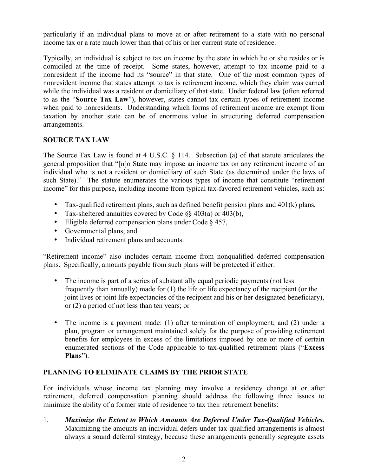particularly if an individual plans to move at or after retirement to a state with no personal income tax or a rate much lower than that of his or her current state of residence.

Typically, an individual is subject to tax on income by the state in which he or she resides or is domiciled at the time of receipt. Some states, however, attempt to tax income paid to a nonresident if the income had its "source" in that state. One of the most common types of nonresident income that states attempt to tax is retirement income, which they claim was earned while the individual was a resident or domiciliary of that state. Under federal law (often referred to as the "**Source Tax Law**"), however, states cannot tax certain types of retirement income when paid to nonresidents. Understanding which forms of retirement income are exempt from taxation by another state can be of enormous value in structuring deferred compensation arrangements.

# **SOURCE TAX LAW**

The Source Tax Law is found at 4 U.S.C. § 114. Subsection (a) of that statute articulates the general proposition that "[n]o State may impose an income tax on any retirement income of an individual who is not a resident or domiciliary of such State (as determined under the laws of such State)." The statute enumerates the various types of income that constitute "retirement income" for this purpose, including income from typical tax-favored retirement vehicles, such as:

- Tax-qualified retirement plans, such as defined benefit pension plans and 401(k) plans,
- Tax-sheltered annuities covered by Code §§ 403(a) or 403(b),
- Eligible deferred compensation plans under Code § 457,
- Governmental plans, and
- Individual retirement plans and accounts.

"Retirement income" also includes certain income from nonqualified deferred compensation plans. Specifically, amounts payable from such plans will be protected if either:

- The income is part of a series of substantially equal periodic payments (not less) frequently than annually) made for (1) the life or life expectancy of the recipient (or the joint lives or joint life expectancies of the recipient and his or her designated beneficiary), or (2) a period of not less than ten years; or
- The income is a payment made: (1) after termination of employment; and (2) under a plan, program or arrangement maintained solely for the purpose of providing retirement benefits for employees in excess of the limitations imposed by one or more of certain enumerated sections of the Code applicable to tax-qualified retirement plans ("**Excess Plans**").

## **PLANNING TO ELIMINATE CLAIMS BY THE PRIOR STATE**

For individuals whose income tax planning may involve a residency change at or after retirement, deferred compensation planning should address the following three issues to minimize the ability of a former state of residence to tax their retirement benefits:

1. *Maximize the Extent to Which Amounts Are Deferred Under Tax-Qualified Vehicles.* Maximizing the amounts an individual defers under tax-qualified arrangements is almost always a sound deferral strategy, because these arrangements generally segregate assets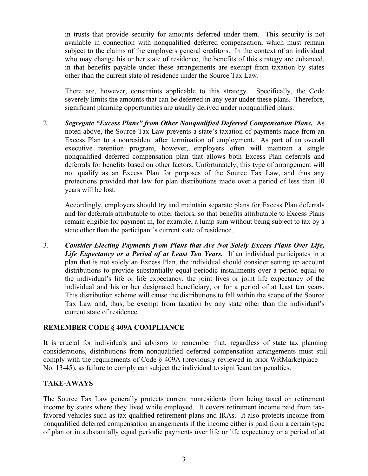in trusts that provide security for amounts deferred under them. This security is not available in connection with nonqualified deferred compensation, which must remain subject to the claims of the employers general creditors. In the context of an individual who may change his or her state of residence, the benefits of this strategy are enhanced, in that benefits payable under these arrangements are exempt from taxation by states other than the current state of residence under the Source Tax Law.

There are, however, constraints applicable to this strategy. Specifically, the Code severely limits the amounts that can be deferred in any year under these plans. Therefore, significant planning opportunities are usually derived under nonqualified plans.

2. *Segregate "Excess Plans" from Other Nonqualified Deferred Compensation Plans.* As noted above, the Source Tax Law prevents a state's taxation of payments made from an Excess Plan to a nonresident after termination of employment. As part of an overall executive retention program, however, employers often will maintain a single nonqualified deferred compensation plan that allows both Excess Plan deferrals and deferrals for benefits based on other factors. Unfortunately, this type of arrangement will not qualify as an Excess Plan for purposes of the Source Tax Law, and thus any protections provided that law for plan distributions made over a period of less than 10 years will be lost.

Accordingly, employers should try and maintain separate plans for Excess Plan deferrals and for deferrals attributable to other factors, so that benefits attributable to Excess Plans remain eligible for payment in, for example, a lump sum without being subject to tax by a state other than the participant's current state of residence.

3. *Consider Electing Payments from Plans that Are Not Solely Excess Plans Over Life, Life Expectancy or a Period of at Least Ten Years.* If an individual participates in a plan that is not solely an Excess Plan, the individual should consider setting up account distributions to provide substantially equal periodic installments over a period equal to the individual's life or life expectancy, the joint lives or joint life expectancy of the individual and his or her designated beneficiary, or for a period of at least ten years. This distribution scheme will cause the distributions to fall within the scope of the Source Tax Law and, thus, be exempt from taxation by any state other than the individual's current state of residence.

## **REMEMBER CODE § 409A COMPLIANCE**

It is crucial for individuals and advisors to remember that, regardless of state tax planning considerations, distributions from nonqualified deferred compensation arrangements must still comply with the requirements of Code § 409A (previously reviewed in prior WRMarketplace No. 13-45), as failure to comply can subject the individual to significant tax penalties.

## **TAKE-AWAYS**

The Source Tax Law generally protects current nonresidents from being taxed on retirement income by states where they lived while employed. It covers retirement income paid from taxfavored vehicles such as tax-qualified retirement plans and IRAs. It also protects income from nonqualified deferred compensation arrangements if the income either is paid from a certain type of plan or in substantially equal periodic payments over life or life expectancy or a period of at